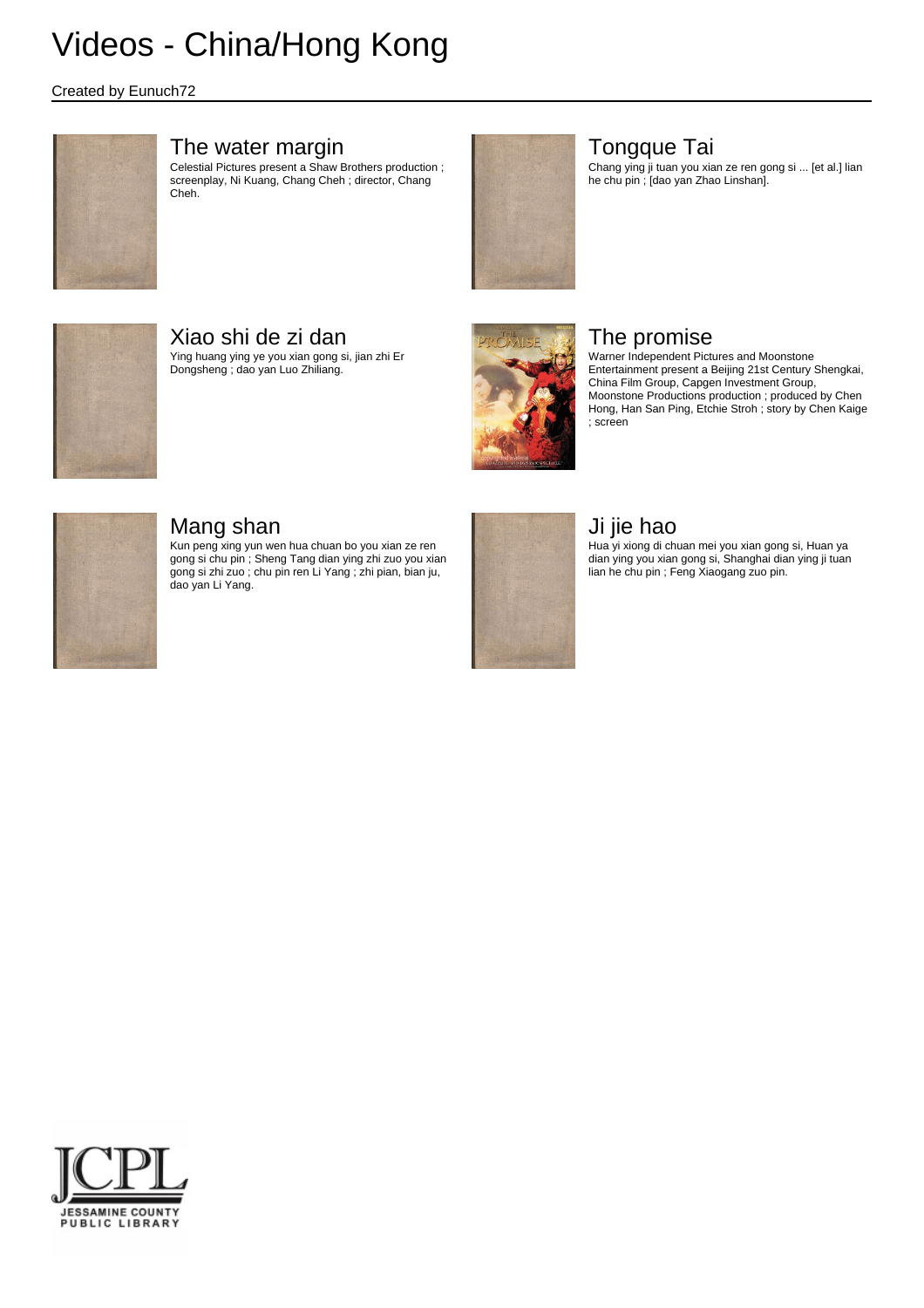#### Created by Eunuch72



### The water margin

Celestial Pictures present a Shaw Brothers production ; screenplay, Ni Kuang, Chang Cheh ; director, Chang Cheh.



# Tongque Tai

Chang ying ji tuan you xian ze ren gong si ... [et al.] lian he chu pin ; [dao yan Zhao Linshan].



# Xiao shi de zi dan

Ying huang ying ye you xian gong si, jian zhi Er Dongsheng ; dao yan Luo Zhiliang.



## The promise

Warner Independent Pictures and Moonstone Entertainment present a Beijing 21st Century Shengkai, China Film Group, Capgen Investment Group, Moonstone Productions production ; produced by Chen Hong, Han San Ping, Etchie Stroh ; story by Chen Kaige ; screen



# Mang shan

Kun peng xing yun wen hua chuan bo you xian ze ren gong si chu pin ; Sheng Tang dian ying zhi zuo you xian gong si zhi zuo ; chu pin ren Li Yang ; zhi pian, bian ju, dao yan Li Yang.



## Ji jie hao

Hua yi xiong di chuan mei you xian gong si, Huan ya dian ying you xian gong si, Shanghai dian ying ji tuan lian he chu pin ; Feng Xiaogang zuo pin.

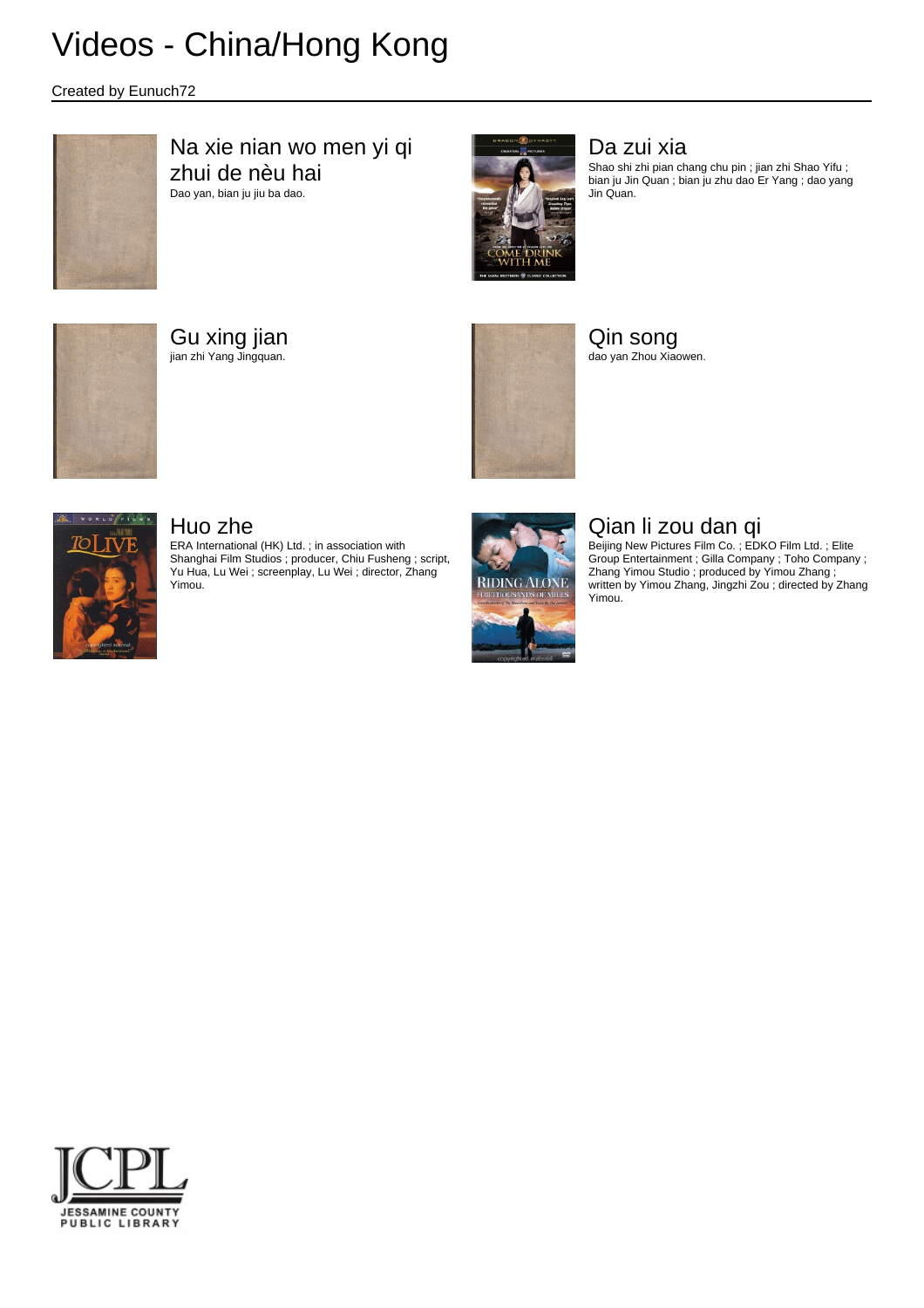Created by Eunuch72



### Na xie nian wo men yi qi zhui de nèu hai Dao yan, bian ju jiu ba dao.



## Da zui xia

Shao shi zhi pian chang chu pin ; jian zhi Shao Yifu ; bian ju Jin Quan ; bian ju zhu dao Er Yang ; dao yang Jin Quan.



Gu xing jian jian zhi Yang Jingquan.



Qin song dao yan Zhou Xiaowen.



### Huo zhe

ERA International (HK) Ltd. ; in association with Shanghai Film Studios ; producer, Chiu Fusheng ; script, Yu Hua, Lu Wei ; screenplay, Lu Wei ; director, Zhang Yimou.



# Qian li zou dan qi

Beijing New Pictures Film Co. ; EDKO Film Ltd. ; Elite Group Entertainment ; Gilla Company ; Toho Company ; Zhang Yimou Studio ; produced by Yimou Zhang ; written by Yimou Zhang, Jingzhi Zou ; directed by Zhang Yimou.

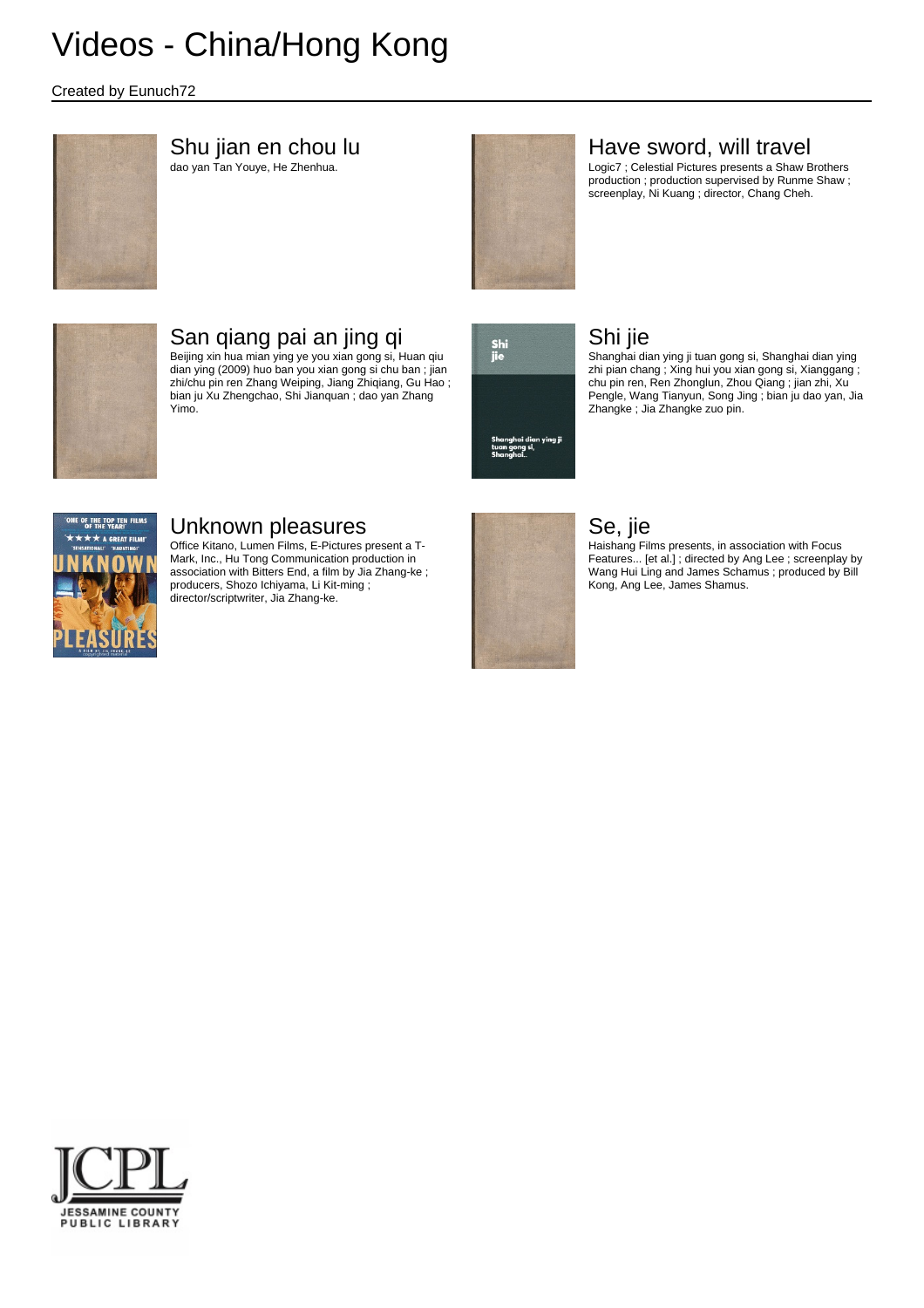#### Created by Eunuch72



## Shu jian en chou lu

dao yan Tan Youye, He Zhenhua.



### Have sword, will travel

Logic7 ; Celestial Pictures presents a Shaw Brothers production ; production supervised by Runme Shaw ; screenplay, Ni Kuang ; director, Chang Cheh.



# San qiang pai an jing qi

Beijing xin hua mian ying ye you xian gong si, Huan qiu dian ying (2009) huo ban you xian gong si chu ban ; jian zhi/chu pin ren Zhang Weiping, Jiang Zhiqiang, Gu Hao ; bian ju Xu Zhengchao, Shi Jianquan ; dao yan Zhang Yimo.



# Shi jie

Shanghai dian ying ji tuan gong si, Shanghai dian ying zhi pian chang ; Xing hui you xian gong si, Xianggang ; chu pin ren, Ren Zhonglun, Zhou Qiang ; jian zhi, Xu Pengle, Wang Tianyun, Song Jing ; bian ju dao yan, Jia Zhangke ; Jia Zhangke zuo pin.



# Unknown pleasures

Office Kitano, Lumen Films, E-Pictures present a T-Mark, Inc., Hu Tong Communication production in association with Bitters End, a film by Jia Zhang-ke ; producers, Shozo Ichiyama, Li Kit-ming ; director/scriptwriter, Jia Zhang-ke.



## Se, jie

Haishang Films presents, in association with Focus Features... [et al.] ; directed by Ang Lee ; screenplay by Wang Hui Ling and James Schamus ; produced by Bill Kong, Ang Lee, James Shamus.

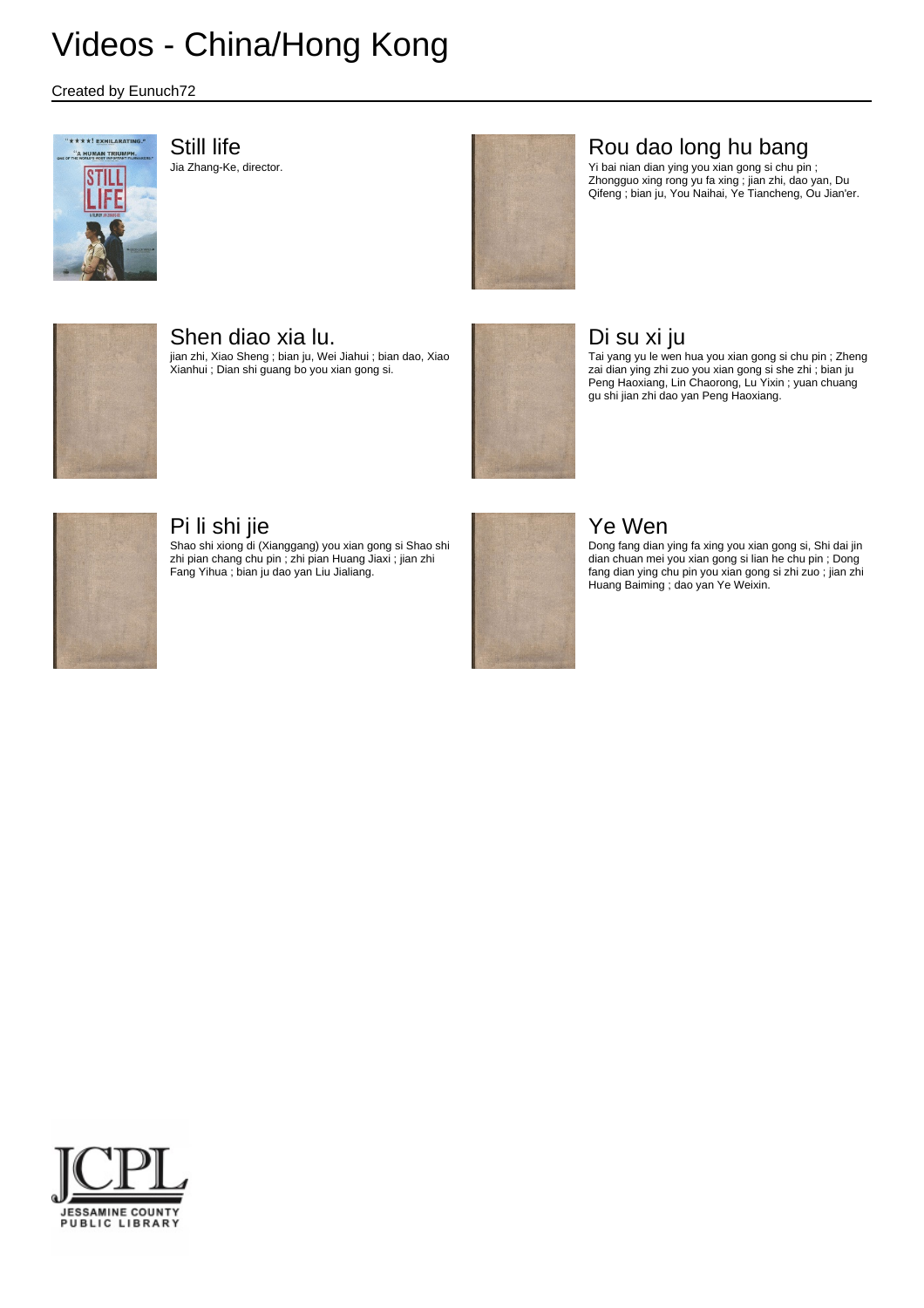#### Created by Eunuch72



### Still life

Jia Zhang-Ke, director.



## Rou dao long hu bang

Yi bai nian dian ying you xian gong si chu pin ; Zhongguo xing rong yu fa xing ; jian zhi, dao yan, Du Qifeng ; bian ju, You Naihai, Ye Tiancheng, Ou Jian'er.



## Shen diao xia lu.

jian zhi, Xiao Sheng ; bian ju, Wei Jiahui ; bian dao, Xiao Xianhui ; Dian shi guang bo you xian gong si.



# Di su xi ju

Tai yang yu le wen hua you xian gong si chu pin ; Zheng zai dian ying zhi zuo you xian gong si she zhi ; bian ju Peng Haoxiang, Lin Chaorong, Lu Yixin ; yuan chuang gu shi jian zhi dao yan Peng Haoxiang.



## Pi li shi jie

Shao shi xiong di (Xianggang) you xian gong si Shao shi zhi pian chang chu pin ; zhi pian Huang Jiaxi ; jian zhi Fang Yihua ; bian ju dao yan Liu Jialiang.



# Ye Wen

Dong fang dian ying fa xing you xian gong si, Shi dai jin dian chuan mei you xian gong si lian he chu pin ; Dong fang dian ying chu pin you xian gong si zhi zuo ; jian zhi Huang Baiming ; dao yan Ye Weixin.